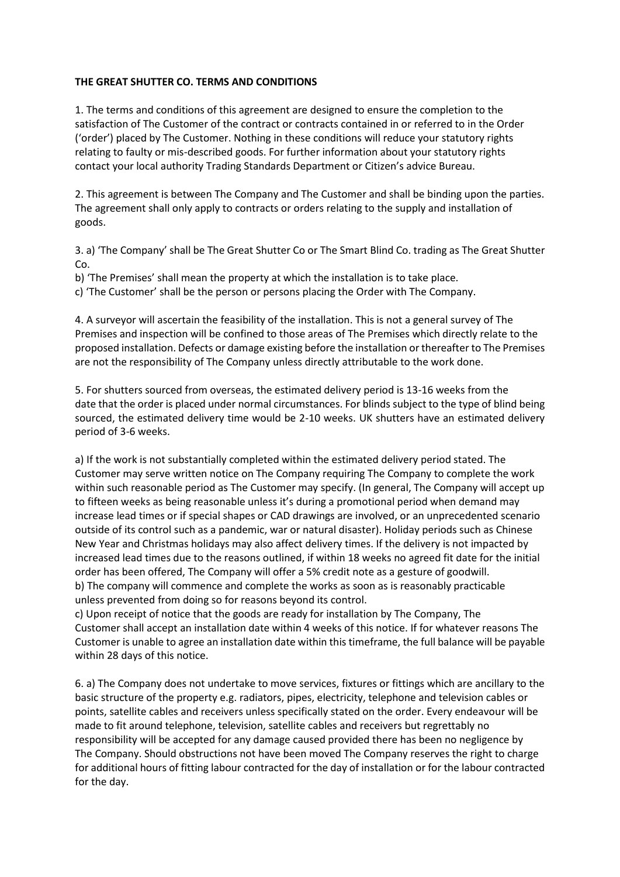## **THE GREAT SHUTTER CO. TERMS AND CONDITIONS**

1. The terms and conditions of this agreement are designed to ensure the completion to the satisfaction of The Customer of the contract or contracts contained in or referred to in the Order ('order') placed by The Customer. Nothing in these conditions will reduce your statutory rights relating to faulty or mis-described goods. For further information about your statutory rights contact your local authority Trading Standards Department or Citizen's advice Bureau.

2. This agreement is between The Company and The Customer and shall be binding upon the parties. The agreement shall only apply to contracts or orders relating to the supply and installation of goods.

3. a) 'The Company' shall be The Great Shutter Co or The Smart Blind Co. trading as The Great Shutter Co.

b) 'The Premises' shall mean the property at which the installation is to take place.

c) 'The Customer' shall be the person or persons placing the Order with The Company.

4. A surveyor will ascertain the feasibility of the installation. This is not a general survey of The Premises and inspection will be confined to those areas of The Premises which directly relate to the proposed installation. Defects or damage existing before the installation or thereafter to The Premises are not the responsibility of The Company unless directly attributable to the work done.

5. For shutters sourced from overseas, the estimated delivery period is 13-16 weeks from the date that the order is placed under normal circumstances. For blinds subject to the type of blind being sourced, the estimated delivery time would be 2-10 weeks. UK shutters have an estimated delivery period of 3-6 weeks.

a) If the work is not substantially completed within the estimated delivery period stated. The Customer may serve written notice on The Company requiring The Company to complete the work within such reasonable period as The Customer may specify. (In general, The Company will accept up to fifteen weeks as being reasonable unless it's during a promotional period when demand may increase lead times or if special shapes or CAD drawings are involved, or an unprecedented scenario outside of its control such as a pandemic, war or natural disaster). Holiday periods such as Chinese New Year and Christmas holidays may also affect delivery times. If the delivery is not impacted by increased lead times due to the reasons outlined, if within 18 weeks no agreed fit date for the initial order has been offered, The Company will offer a 5% credit note as a gesture of goodwill. b) The company will commence and complete the works as soon as is reasonably practicable unless prevented from doing so for reasons beyond its control.

c) Upon receipt of notice that the goods are ready for installation by The Company, The Customer shall accept an installation date within 4 weeks of this notice. If for whatever reasons The Customer is unable to agree an installation date within this timeframe, the full balance will be payable within 28 days of this notice.

6. a) The Company does not undertake to move services, fixtures or fittings which are ancillary to the basic structure of the property e.g. radiators, pipes, electricity, telephone and television cables or points, satellite cables and receivers unless specifically stated on the order. Every endeavour will be made to fit around telephone, television, satellite cables and receivers but regrettably no responsibility will be accepted for any damage caused provided there has been no negligence by The Company. Should obstructions not have been moved The Company reserves the right to charge for additional hours of fitting labour contracted for the day of installation or for the labour contracted for the day.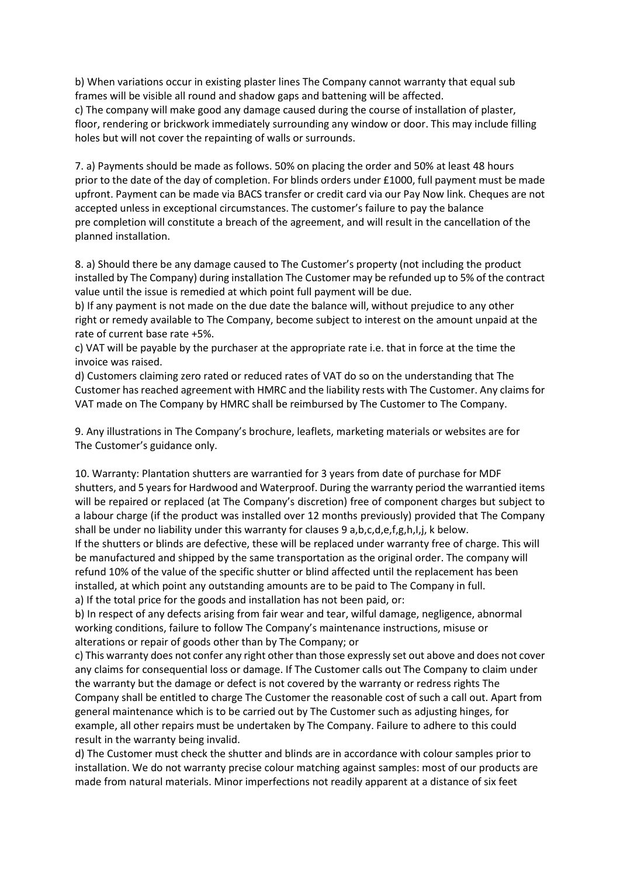b) When variations occur in existing plaster lines The Company cannot warranty that equal sub frames will be visible all round and shadow gaps and battening will be affected.

c) The company will make good any damage caused during the course of installation of plaster, floor, rendering or brickwork immediately surrounding any window or door. This may include filling holes but will not cover the repainting of walls or surrounds.

7. a) Payments should be made as follows. 50% on placing the order and 50% at least 48 hours prior to the date of the day of completion. For blinds orders under £1000, full payment must be made upfront. Payment can be made via BACS transfer or credit card via our Pay Now link. Cheques are not accepted unless in exceptional circumstances. The customer's failure to pay the balance pre completion will constitute a breach of the agreement, and will result in the cancellation of the planned installation.

8. a) Should there be any damage caused to The Customer's property (not including the product installed by The Company) during installation The Customer may be refunded up to 5% of the contract value until the issue is remedied at which point full payment will be due.

b) If any payment is not made on the due date the balance will, without prejudice to any other right or remedy available to The Company, become subject to interest on the amount unpaid at the rate of current base rate +5%.

c) VAT will be payable by the purchaser at the appropriate rate i.e. that in force at the time the invoice was raised.

d) Customers claiming zero rated or reduced rates of VAT do so on the understanding that The Customer has reached agreement with HMRC and the liability rests with The Customer. Any claims for VAT made on The Company by HMRC shall be reimbursed by The Customer to The Company.

9. Any illustrations in The Company's brochure, leaflets, marketing materials or websites are for The Customer's guidance only.

10. Warranty: Plantation shutters are warrantied for 3 years from date of purchase for MDF shutters, and 5 years for Hardwood and Waterproof. During the warranty period the warrantied items will be repaired or replaced (at The Company's discretion) free of component charges but subject to a labour charge (if the product was installed over 12 months previously) provided that The Company shall be under no liability under this warranty for clauses 9 a,b,c,d,e,f,g,h,l,j, k below.

If the shutters or blinds are defective, these will be replaced under warranty free of charge. This will be manufactured and shipped by the same transportation as the original order. The company will refund 10% of the value of the specific shutter or blind affected until the replacement has been installed, at which point any outstanding amounts are to be paid to The Company in full. a) If the total price for the goods and installation has not been paid, or:

b) In respect of any defects arising from fair wear and tear, wilful damage, negligence, abnormal working conditions, failure to follow The Company's maintenance instructions, misuse or alterations or repair of goods other than by The Company; or

c) This warranty does not confer any right other than those expressly set out above and does not cover any claims for consequential loss or damage. If The Customer calls out The Company to claim under the warranty but the damage or defect is not covered by the warranty or redress rights The Company shall be entitled to charge The Customer the reasonable cost of such a call out. Apart from general maintenance which is to be carried out by The Customer such as adjusting hinges, for example, all other repairs must be undertaken by The Company. Failure to adhere to this could result in the warranty being invalid.

d) The Customer must check the shutter and blinds are in accordance with colour samples prior to installation. We do not warranty precise colour matching against samples: most of our products are made from natural materials. Minor imperfections not readily apparent at a distance of six feet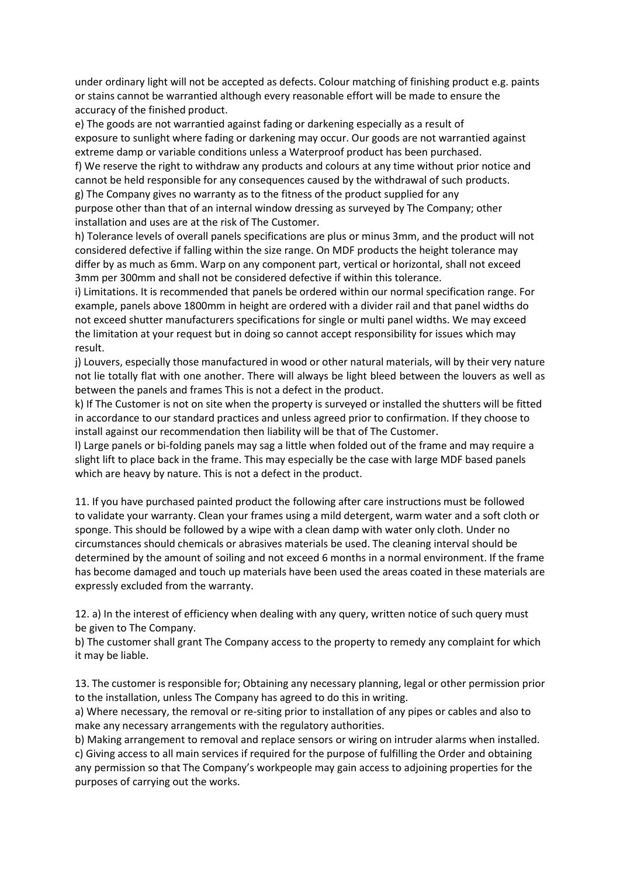under ordinary light will not be accepted as defects. Colour matching of finishing product e.g. paints or stains cannot be warrantied although every reasonable effort will be made to ensure the accuracy of the finished product.

e) The goods are not warrantied against fading or darkening especially as a result of exposure to sunlight where fading or darkening may occur. Our goods are not warrantied against extreme damp or variable conditions unless a Waterproof product has been purchased.

f) We reserve the right to withdraw any products and colours at any time without prior notice and cannot be held responsible for any consequences caused by the withdrawal of such products. g) The Company gives no warranty as to the fitness of the product supplied for any

purpose other than that of an internal window dressing as surveyed by The Company; other installation and uses are at the risk of The Customer.

h) Tolerance levels of overall panels specifications are plus or minus 3mm, and the product will not considered defective if falling within the size range. On MDF products the height tolerance may differ by as much as 6mm. Warp on any component part, vertical or horizontal, shall not exceed 3mm per 300mm and shall not be considered defective if within this tolerance.

i) Limitations. It is recommended that panels be ordered within our normal specification range. For example, panels above 1800mm in height are ordered with a divider rail and that panel widths do not exceed shutter manufacturers specifications for single or multi panel widths. We may exceed the limitation at your request but in doing so cannot accept responsibility for issues which may result.

j) Louvers, especially those manufactured in wood or other natural materials, will by their very nature not lie totally flat with one another. There will always be light bleed between the louvers as well as between the panels and frames This is not a defect in the product.

k) If The Customer is not on site when the property is surveyed or installed the shutters will be fitted in accordance to our standard practices and unless agreed prior to confirmation. If they choose to install against our recommendation then liability will be that of The Customer.

l) Large panels or bi-folding panels may sag a little when folded out of the frame and may require a slight lift to place back in the frame. This may especially be the case with large MDF based panels which are heavy by nature. This is not a defect in the product.

11. If you have purchased painted product the following after care instructions must be followed to validate your warranty. Clean your frames using a mild detergent, warm water and a soft cloth or sponge. This should be followed by a wipe with a clean damp with water only cloth. Under no circumstances should chemicals or abrasives materials be used. The cleaning interval should be determined by the amount of soiling and not exceed 6 months in a normal environment. If the frame has become damaged and touch up materials have been used the areas coated in these materials are expressly excluded from the warranty.

12. a) In the interest of efficiency when dealing with any query, written notice of such query must be given to The Company.

b) The customer shall grant The Company access to the property to remedy any complaint for which it may be liable.

13. The customer is responsible for; Obtaining any necessary planning, legal or other permission prior to the installation, unless The Company has agreed to do this in writing.

a) Where necessary, the removal or re-siting prior to installation of any pipes or cables and also to make any necessary arrangements with the regulatory authorities.

b) Making arrangement to removal and replace sensors or wiring on intruder alarms when installed.

c) Giving access to all main services if required for the purpose of fulfilling the Order and obtaining any permission so that The Company's workpeople may gain access to adjoining properties for the purposes of carrying out the works.